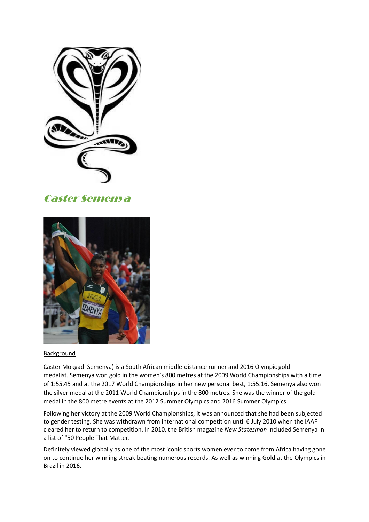

## Caster Semenya



## **Background**

Caster Mokgadi Semenya) is a South African middle-distance runner and 2016 Olympic gold medalist. Semenya won gold in the women's 800 metres at the 2009 World Championships with a time of 1:55.45 and at the 2017 World Championships in her new personal best, 1:55.16. Semenya also won the silver medal at the 2011 World Championships in the 800 metres. She was the winner of the gold medal in the 800 metre events at the 2012 Summer Olympics and 2016 Summer Olympics.

Following her victory at the 2009 World Championships, it was announced that she had been subjected to gender testing. She was withdrawn from international competition until 6 July 2010 when the IAAF cleared her to return to competition. In 2010, the British magazine *New Statesman* included Semenya in a list of "50 People That Matter.

Definitely viewed globally as one of the most iconic sports women ever to come from Africa having gone on to continue her winning streak beating numerous records. As well as winning Gold at the Olympics in Brazil in 2016.